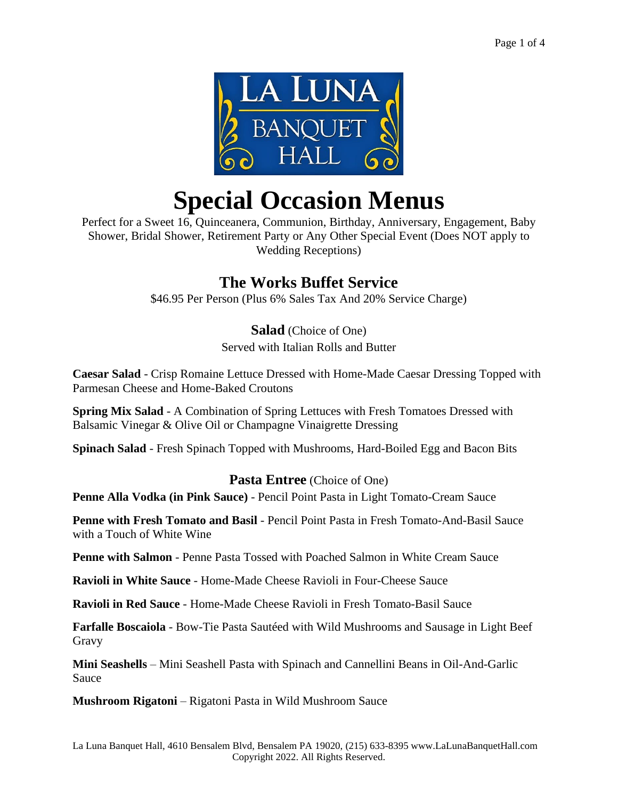

# **Special Occasion Menus**

Perfect for a Sweet 16, Quinceanera, Communion, Birthday, Anniversary, Engagement, Baby Shower, Bridal Shower, Retirement Party or Any Other Special Event (Does NOT apply to Wedding Receptions)

# **The Works Buffet Service**

\$46.95 Per Person (Plus 6% Sales Tax And 20% Service Charge)

**Salad** (Choice of One)

Served with Italian Rolls and Butter

**Caesar Salad** - Crisp Romaine Lettuce Dressed with Home-Made Caesar Dressing Topped with Parmesan Cheese and Home-Baked Croutons

**Spring Mix Salad** - A Combination of Spring Lettuces with Fresh Tomatoes Dressed with Balsamic Vinegar & Olive Oil or Champagne Vinaigrette Dressing

**Spinach Salad** - Fresh Spinach Topped with Mushrooms, Hard-Boiled Egg and Bacon Bits

## **Pasta Entree** (Choice of One)

**Penne Alla Vodka (in Pink Sauce)** - Pencil Point Pasta in Light Tomato-Cream Sauce

**Penne with Fresh Tomato and Basil** - Pencil Point Pasta in Fresh Tomato-And-Basil Sauce with a Touch of White Wine

**Penne with Salmon** - Penne Pasta Tossed with Poached Salmon in White Cream Sauce

**Ravioli in White Sauce** - Home-Made Cheese Ravioli in Four-Cheese Sauce

**Ravioli in Red Sauce** - Home-Made Cheese Ravioli in Fresh Tomato-Basil Sauce

**Farfalle Boscaiola** - Bow-Tie Pasta Sautéed with Wild Mushrooms and Sausage in Light Beef Gravy

**Mini Seashells** – Mini Seashell Pasta with Spinach and Cannellini Beans in Oil-And-Garlic Sauce

**Mushroom Rigatoni** – Rigatoni Pasta in Wild Mushroom Sauce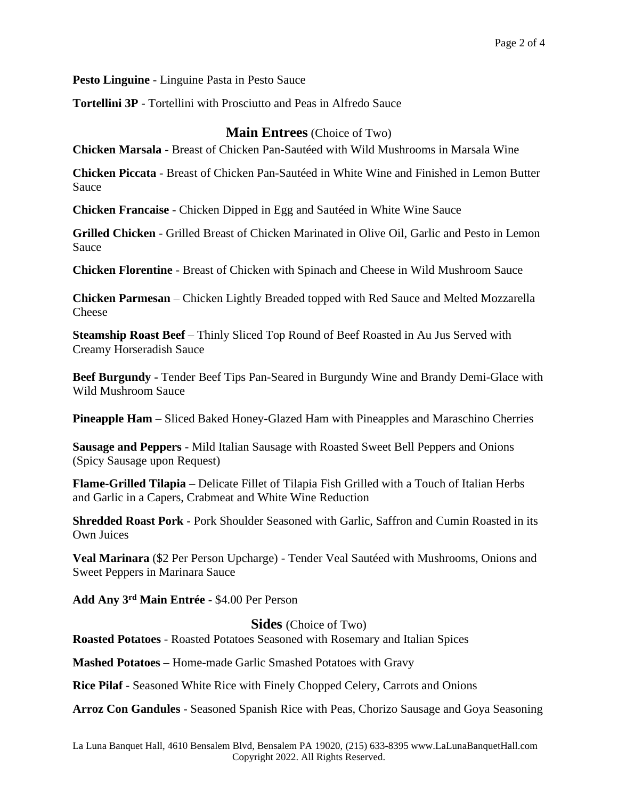**Pesto Linguine** - Linguine Pasta in Pesto Sauce

**Tortellini 3P** - Tortellini with Prosciutto and Peas in Alfredo Sauce

#### **Main Entrees** (Choice of Two)

**Chicken Marsala** - Breast of Chicken Pan-Sautéed with Wild Mushrooms in Marsala Wine

**Chicken Piccata** - Breast of Chicken Pan-Sautéed in White Wine and Finished in Lemon Butter Sauce

**Chicken Francaise** - Chicken Dipped in Egg and Sautéed in White Wine Sauce

**Grilled Chicken** - Grilled Breast of Chicken Marinated in Olive Oil, Garlic and Pesto in Lemon Sauce

**Chicken Florentine** - Breast of Chicken with Spinach and Cheese in Wild Mushroom Sauce

**Chicken Parmesan** – Chicken Lightly Breaded topped with Red Sauce and Melted Mozzarella Cheese

**Steamship Roast Beef** – Thinly Sliced Top Round of Beef Roasted in Au Jus Served with Creamy Horseradish Sauce

**Beef Burgundy -** Tender Beef Tips Pan-Seared in Burgundy Wine and Brandy Demi-Glace with Wild Mushroom Sauce

**Pineapple Ham** – Sliced Baked Honey-Glazed Ham with Pineapples and Maraschino Cherries

**Sausage and Peppers** - Mild Italian Sausage with Roasted Sweet Bell Peppers and Onions (Spicy Sausage upon Request)

**Flame-Grilled Tilapia** – Delicate Fillet of Tilapia Fish Grilled with a Touch of Italian Herbs and Garlic in a Capers, Crabmeat and White Wine Reduction

**Shredded Roast Pork** - Pork Shoulder Seasoned with Garlic, Saffron and Cumin Roasted in its Own Juices

**Veal Marinara** (\$2 Per Person Upcharge) - Tender Veal Sautéed with Mushrooms, Onions and Sweet Peppers in Marinara Sauce

**Add Any 3rd Main Entrée -** \$4.00 Per Person

**Sides** (Choice of Two)

**Roasted Potatoes** - Roasted Potatoes Seasoned with Rosemary and Italian Spices

**Mashed Potatoes –** Home-made Garlic Smashed Potatoes with Gravy

**Rice Pilaf** - Seasoned White Rice with Finely Chopped Celery, Carrots and Onions

**Arroz Con Gandules** - Seasoned Spanish Rice with Peas, Chorizo Sausage and Goya Seasoning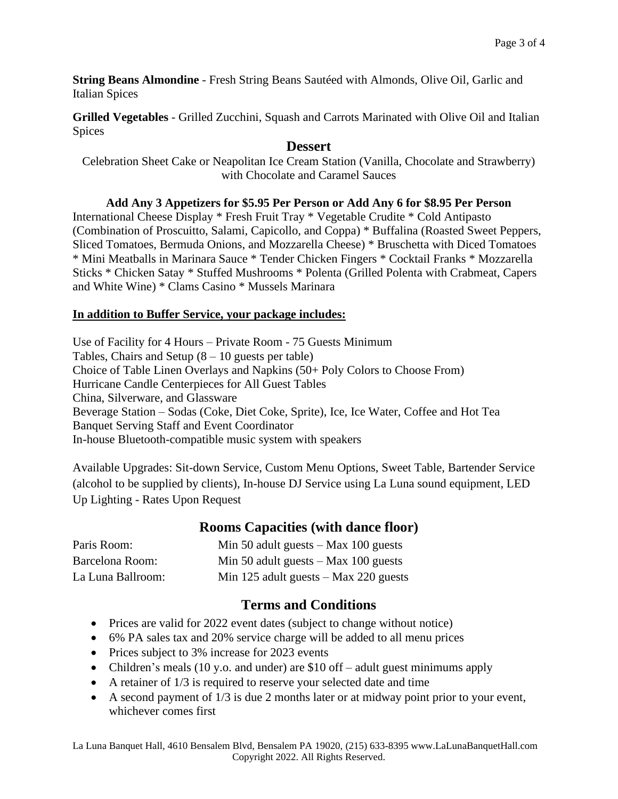**String Beans Almondine** - Fresh String Beans Sautéed with Almonds, Olive Oil, Garlic and Italian Spices

**Grilled Vegetables** - Grilled Zucchini, Squash and Carrots Marinated with Olive Oil and Italian Spices

#### **Dessert**

Celebration Sheet Cake or Neapolitan Ice Cream Station (Vanilla, Chocolate and Strawberry) with Chocolate and Caramel Sauces

#### **Add Any 3 Appetizers for \$5.95 Per Person or Add Any 6 for \$8.95 Per Person**

International Cheese Display \* Fresh Fruit Tray \* Vegetable Crudite \* Cold Antipasto (Combination of Proscuitto, Salami, Capicollo, and Coppa) \* Buffalina (Roasted Sweet Peppers, Sliced Tomatoes, Bermuda Onions, and Mozzarella Cheese) \* Bruschetta with Diced Tomatoes \* Mini Meatballs in Marinara Sauce \* Tender Chicken Fingers \* Cocktail Franks \* Mozzarella Sticks \* Chicken Satay \* Stuffed Mushrooms \* Polenta (Grilled Polenta with Crabmeat, Capers and White Wine) \* Clams Casino \* Mussels Marinara

#### **In addition to Buffer Service, your package includes:**

Use of Facility for 4 Hours – Private Room - 75 Guests Minimum Tables, Chairs and Setup  $(8 - 10)$  guests per table) Choice of Table Linen Overlays and Napkins (50+ Poly Colors to Choose From) Hurricane Candle Centerpieces for All Guest Tables China, Silverware, and Glassware Beverage Station – Sodas (Coke, Diet Coke, Sprite), Ice, Ice Water, Coffee and Hot Tea Banquet Serving Staff and Event Coordinator In-house Bluetooth-compatible music system with speakers

Available Upgrades: Sit-down Service, Custom Menu Options, Sweet Table, Bartender Service (alcohol to be supplied by clients), In-house DJ Service using La Luna sound equipment, LED Up Lighting - Rates Upon Request

## **Rooms Capacities (with dance floor)**

| Paris Room:       | Min 50 adult guests $-$ Max 100 guests  |
|-------------------|-----------------------------------------|
| Barcelona Room:   | Min 50 adult guests $-$ Max 100 guests  |
| La Luna Ballroom: | Min 125 adult guests $-$ Max 220 guests |

## **Terms and Conditions**

- Prices are valid for 2022 event dates (subject to change without notice)
- 6% PA sales tax and 20% service charge will be added to all menu prices
- Prices subject to 3% increase for 2023 events
- Children's meals (10 y.o. and under) are \$10 of f adult guest minimums apply
- A retainer of 1/3 is required to reserve your selected date and time
- A second payment of  $1/3$  is due 2 months later or at midway point prior to your event, whichever comes first